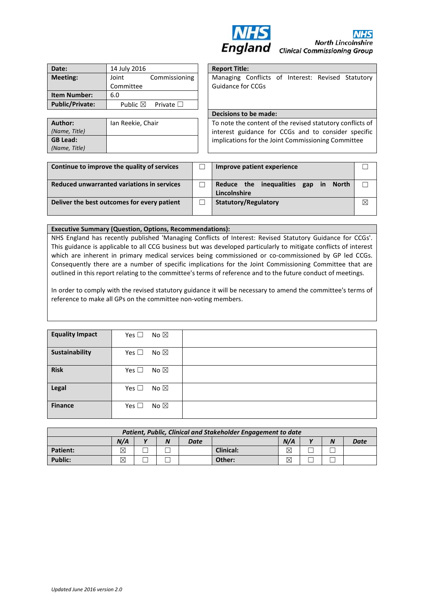

| Date:                  | 14 July 2016                        | <b>Report Title:</b> |                            |
|------------------------|-------------------------------------|----------------------|----------------------------|
| <b>Meeting:</b>        | Commissioning<br>Joint<br>Committee |                      | Managing (<br>Guidance for |
| <b>Item Number:</b>    | 6.0                                 |                      |                            |
| <b>Public/Private:</b> | Public $\boxtimes$                  | Private $\square$    |                            |

| Author:         | Ian Reekie, Chair |
|-----------------|-------------------|
| (Name, Title)   |                   |
| <b>GB Lead:</b> |                   |
| (Name, Title)   |                   |
|                 |                   |

| <b>Report Title:</b>                                      |  |  |  |  |
|-----------------------------------------------------------|--|--|--|--|
| Managing Conflicts of Interest: Revised Statutory         |  |  |  |  |
| <b>Guidance for CCGs</b>                                  |  |  |  |  |
|                                                           |  |  |  |  |
|                                                           |  |  |  |  |
| Decisions to be made:                                     |  |  |  |  |
| To note the content of the revised statutory conflicts of |  |  |  |  |
|                                                           |  |  |  |  |

interest guidance for CCGs and to consider specific implications for the Joint Commissioning Committee

| Continue to improve the quality of services | Improve patient experience                                                          |           |  |  |
|---------------------------------------------|-------------------------------------------------------------------------------------|-----------|--|--|
| Reduced unwarranted variations in services  | Reduce the inequalities<br>$\blacksquare$ in<br>gap<br><b>North</b><br>Lincolnshire |           |  |  |
| Deliver the best outcomes for every patient | Statutory/Regulatory                                                                | $\bowtie$ |  |  |

## **Executive Summary (Question, Options, Recommendations):**

NHS England has recently published 'Managing Conflicts of Interest: Revised Statutory Guidance for CCGs'. This guidance is applicable to all CCG business but was developed particularly to mitigate conflicts of interest which are inherent in primary medical services being commissioned or co-commissioned by GP led CCGs. Consequently there are a number of specific implications for the Joint Commissioning Committee that are outlined in this report relating to the committee's terms of reference and to the future conduct of meetings.

In order to comply with the revised statutory guidance it will be necessary to amend the committee's terms of reference to make all GPs on the committee non-voting members.

| <b>Equality Impact</b> | Yes $\square$<br>No $\boxtimes$ |  |
|------------------------|---------------------------------|--|
| Sustainability         | Yes $\square$<br>No $\boxtimes$ |  |
| <b>Risk</b>            | Yes $\square$<br>No $\boxtimes$ |  |
| Legal                  | Yes $\square$<br>No $\boxtimes$ |  |
| <b>Finance</b>         | Yes $\square$<br>No $\boxtimes$ |  |

| Patient, Public, Clinical and Stakeholder Engagement to date |     |              |   |      |                  |             |              |                  |      |
|--------------------------------------------------------------|-----|--------------|---|------|------------------|-------------|--------------|------------------|------|
|                                                              | N/A | $\mathbf{v}$ | N | Date |                  | N/A         | $\mathbf{v}$ | $\boldsymbol{N}$ | Date |
| <b>Patient:</b>                                              | ⊠   |              |   |      | <b>Clinical:</b> | $\boxtimes$ |              |                  |      |
| <b>Public:</b>                                               | ⊠   |              |   |      | Other:           | $\boxtimes$ |              |                  |      |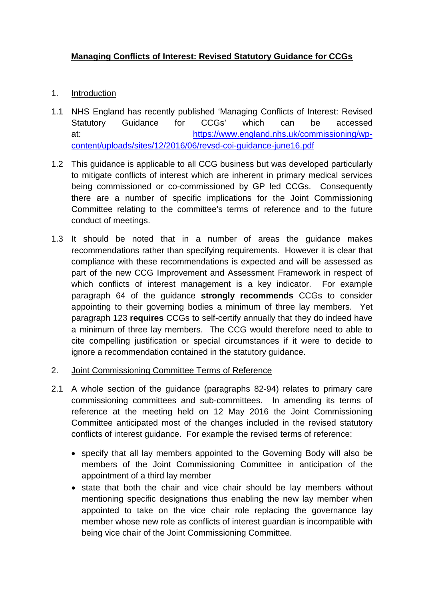## **Managing Conflicts of Interest: Revised Statutory Guidance for CCGs**

- 1. Introduction
- 1.1 NHS England has recently published 'Managing Conflicts of Interest: Revised Statutory Guidance for CCGs' which can be accessed at: [https://www.england.nhs.uk/commissioning/wp](https://www.england.nhs.uk/commissioning/wp-content/uploads/sites/12/2016/06/revsd-coi-guidance-june16.pdf)[content/uploads/sites/12/2016/06/revsd-coi-guidance-june16.pdf](https://www.england.nhs.uk/commissioning/wp-content/uploads/sites/12/2016/06/revsd-coi-guidance-june16.pdf)
- 1.2 This guidance is applicable to all CCG business but was developed particularly to mitigate conflicts of interest which are inherent in primary medical services being commissioned or co-commissioned by GP led CCGs. Consequently there are a number of specific implications for the Joint Commissioning Committee relating to the committee's terms of reference and to the future conduct of meetings.
- 1.3 It should be noted that in a number of areas the guidance makes recommendations rather than specifying requirements. However it is clear that compliance with these recommendations is expected and will be assessed as part of the new CCG Improvement and Assessment Framework in respect of which conflicts of interest management is a key indicator. For example paragraph 64 of the guidance **strongly recommends** CCGs to consider appointing to their governing bodies a minimum of three lay members. Yet paragraph 123 **requires** CCGs to self-certify annually that they do indeed have a minimum of three lay members. The CCG would therefore need to able to cite compelling justification or special circumstances if it were to decide to ignore a recommendation contained in the statutory guidance.
- 2. Joint Commissioning Committee Terms of Reference
- 2.1 A whole section of the guidance (paragraphs 82-94) relates to primary care commissioning committees and sub-committees. In amending its terms of reference at the meeting held on 12 May 2016 the Joint Commissioning Committee anticipated most of the changes included in the revised statutory conflicts of interest guidance. For example the revised terms of reference:
	- specify that all lay members appointed to the Governing Body will also be members of the Joint Commissioning Committee in anticipation of the appointment of a third lay member
	- state that both the chair and vice chair should be lay members without mentioning specific designations thus enabling the new lay member when appointed to take on the vice chair role replacing the governance lay member whose new role as conflicts of interest guardian is incompatible with being vice chair of the Joint Commissioning Committee.